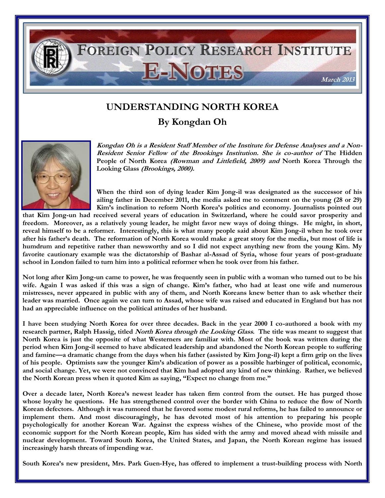

## **UNDERSTANDING NORTH KOREA**

**By Kongdan Oh**



**Kongdan Oh is a Resident Staff Member of the Institute for Defense Analyses and a Non-Resident Senior Fellow of the Brookings Institution. She is co-author of The Hidden People of North Korea (Rowman and Littlefield, 2009) and North Korea Through the Looking Glass (Brookings, 2000).**

**When the third son of dying leader Kim Jong-il was designated as the successor of his ailing father in December 2011, the media asked me to comment on the young (28 or 29) Kim's inclination to reform North Korea's politics and economy. Journalists pointed out** 

**that Kim Jong-un had received several years of education in Switzerland, where he could savor prosperity and freedom. Moreover, as a relatively young leader, he might favor new ways of doing things. He might, in short, reveal himself to be a reformer. Interestingly, this is what many people said about Kim Jong-il when he took over after his father's death. The reformation of North Korea would make a great story for the media, but most of life is humdrum and repetitive rather than newsworthy and so I did not expect anything new from the young Kim. My favorite cautionary example was the dictatorship of Bashar al-Assad of Syria, whose four years of post-graduate school in London failed to turn him into a political reformer when he took over from his father.** 

**Not long after Kim Jong-un came to power, he was frequently seen in public with a woman who turned out to be his wife. Again I was asked if this was a sign of change. Kim's father, who had at least one wife and numerous mistresses, never appeared in public with any of them, and North Koreans knew better than to ask whether their leader was married. Once again we can turn to Assad, whose wife was raised and educated in England but has not had an appreciable influence on the political attitudes of her husband.**

**I have been studying North Korea for over three decades. Back in the year 2000 I co-authored a book with my research partner, Ralph Hassig, titled North Korea through the Looking Glass. The title was meant to suggest that North Korea is just the opposite of what Westerners are familiar with. Most of the book was written during the period when Kim Jong-il seemed to have abdicated leadership and abandoned the North Korean people to suffering and famine—a dramatic change from the days when his father (assisted by Kim Jong-il) kept a firm grip on the lives of his people. Optimists saw the younger Kim's abdication of power as a possible harbinger of political, economic, and social change. Yet, we were not convinced that Kim had adopted any kind of new thinking. Rather, we believed the North Korean press when it quoted Kim as saying, "Expect no change from me."**

**Over a decade later, North Korea's newest leader has taken firm control from the outset. He has purged those whose loyalty he questions. He has strengthened control over the border with China to reduce the flow of North Korean defectors. Although it was rumored that he favored some modest rural reforms, he has failed to announce or implement them. And most discouragingly, he has devoted most of his attention to preparing his people psychologically for another Korean War. Against the express wishes of the Chinese, who provide most of the economic support for the North Korean people, Kim has sided with the army and moved ahead with missile and nuclear development. Toward South Korea, the United States, and Japan, the North Korean regime has issued increasingly harsh threats of impending war.** 

**South Korea's new president, Mrs. Park Guen-Hye, has offered to implement a trust-building process with North**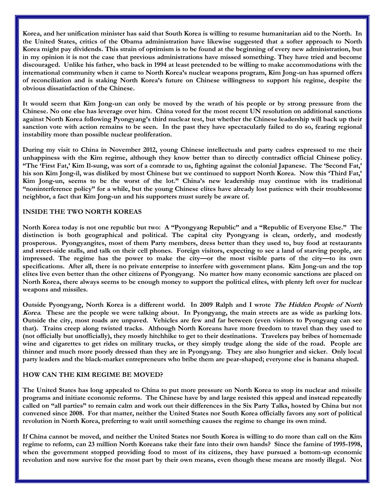**Korea, and her unification minister has said that South Korea is willing to resume humanitarian aid to the North. In the United States, critics of the Obama administration have likewise suggested that a softer approach to North Korea might pay dividends. This strain of optimism is to be found at the beginning of every new administration, but in my opinion it is not the case that previous administrations have missed something. They have tried and become discouraged. Unlike his father, who back in 1994 at least pretended to be willing to make accommodations with the international community when it came to North Korea's nuclear weapons program, Kim Jong-un has spurned offers of reconciliation and is staking North Korea's future on Chinese willingness to support his regime, despite the obvious dissatisfaction of the Chinese.** 

**It would seem that Kim Jong-un can only be moved by the wrath of his people or by strong pressure from the Chinese. No one else has leverage over him. China voted for the most recent UN resolution on additional sanctions against North Korea following Pyongyang's third nuclear test, but whether the Chinese leadership will back up their sanction vote with action remains to be seen. In the past they have spectacularly failed to do so, fearing regional instability more than possible nuclear proliferation.** 

**During my visit to China in November 2012, young Chinese intellectuals and party cadres expressed to me their unhappiness with the Kim regime, although they know better than to directly contradict official Chinese policy. "The 'First Fat,' Kim Il-sung, was sort of a comrade to us, fighting against the colonial Japanese. The 'Second Fat,' his son Kim Jong-il, was disliked by most Chinese but we continued to support North Korea. Now this 'Third Fat,' Kim Jong-un, seems to be the worst of the lot." China's new leadership may continue with its traditional "noninterference policy" for a while, but the young Chinese elites have already lost patience with their troublesome neighbor, a fact that Kim Jong-un and his supporters must surely be aware of.** 

## **INSIDE THE TWO NORTH KOREAS**

**North Korea today is not one republic but two: A "Pyongyang Republic" and a "Republic of Everyone Else." The distinction is both geographical and political. The capital city Pyongyang is clean, orderly, and modestly prosperous. Pyongyangites, most of them Party members, dress better than they used to, buy food at restaurants and street-side stalls, and talk on their cell phones. Foreign visitors, expecting to see a land of starving people, are impressed. The regime has the power to make the city—or the most visible parts of the city—to its own specifications. After all, there is no private enterprise to interfere with government plans. Kim Jong-un and the top elites live even better than the other citizens of Pyongyang. No matter how many economic sanctions are placed on North Korea, there always seems to be enough money to support the political elites, with plenty left over for nuclear weapons and missiles.** 

**Outside Pyongyang, North Korea is a different world. In 2009 Ralph and I wrote The Hidden People of North Korea. These are the people we were talking about. In Pyongyang, the main streets are as wide as parking lots. Outside the city, most roads are unpaved. Vehicles are few and far between (even visitors to Pyongyang can see that). Trains creep along twisted tracks. Although North Koreans have more freedom to travel than they used to (not officially but unofficially), they mostly hitchhike to get to their destinations. Travelers pay bribes of homemade wine and cigarettes to get rides on military trucks, or they simply trudge along the side of the road. People are thinner and much more poorly dressed than they are in Pyongyang. They are also hungrier and sicker. Only local party leaders and the black-market entrepreneurs who bribe them are pear-shaped; everyone else is banana shaped.** 

## **HOW CAN THE KIM REGIME BE MOVED?**

**The United States has long appealed to China to put more pressure on North Korea to stop its nuclear and missile programs and initiate economic reforms. The Chinese have by and large resisted this appeal and instead repeatedly called on "all parties" to remain calm and work out their differences in the Six Party Talks, hosted by China but not convened since 2008. For that matter, neither the United States nor South Korea officially favors any sort of political revolution in North Korea, preferring to wait until something causes the regime to change its own mind.**

**If China cannot be moved, and neither the United States nor South Korea is willing to do more than call on the Kim regime to reform, can 23 million North Koreans take their fate into their own hands? Since the famine of 1995-1998, when the government stopped providing food to most of its citizens, they have pursued a bottom-up economic revolution and now survive for the most part by their own means, even though these means are mostly illegal. Not**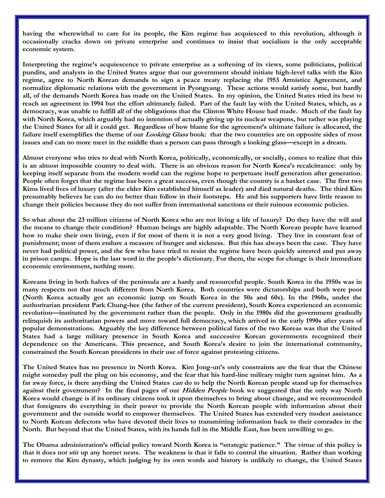**having the wherewithal to care for its people, the Kim regime has acquiesced to this revolution, although it occasionally cracks down on private enterprise and continues to insist that socialism is the only acceptable economic system.** 

**Interpreting the regime's acquiescence to private enterprise as a softening of its views, some politicians, political pundits, and analysts in the United States argue that our government should initiate high-level talks with the Kim regime, agree to North Korean demands to sign a peace treaty replacing the 1953 Armistice Agreement, and normalize diplomatic relations with the government in Pyongyang. These actions would satisfy some, but hardly all, of the demands North Korea has made on the United States. In my opinion, the United States tried its best to reach an agreement in 1994 but the effort ultimately failed. Part of the fault lay with the United States, which, as a democracy, was unable to fulfill all of the obligations that the Clinton White House had made. Much of the fault lay with North Korea, which arguably had no intention of actually giving up its nuclear weapons, but rather was playing the United States for all it could get. Regardless of how blame for the agreement's ultimate failure is allocated, the failure itself exemplifies the theme of our Looking Glass book: that the two countries are on opposite sides of most issues and can no more meet in the middle than a person can pass through a looking glass—except in a dream.** 

**Almost everyone who tries to deal with North Korea, politically, economically, or socially, comes to realize that this is an almost impossible country to deal with. There is an obvious reason for North Korea's recalcitrance: only by keeping itself separate from the modern world can the regime hope to perpetuate itself generation after generation. People often forget that the regime has been a great success, even though the country is a basket case. The first two Kims lived lives of luxury (after the elder Kim established himself as leader) and died natural deaths. The third Kim presumably believes he can do no better than follow in their footsteps. He and his supporters have little reason to change their policies because they do not suffer from international sanctions or their ruinous economic policies.**

**So what about the 23 million citizens of North Korea who are not living a life of luxury? Do they have the will and the means to change their condition? Human beings are highly adaptable. The North Korean people have learned how to make their own living, even if for most of them it is not a very good living. They live in constant fear of punishment; most of them endure a measure of hunger and sickness. But this has always been the case. They have never had political power, and the few who have tried to resist the regime have been quickly arrested and put away in prison camps. Hope is the last word in the people's dictionary. For them, the scope for change is their immediate economic environment, nothing more.**

**Koreans living in both halves of the peninsula are a hardy and resourceful people. South Korea in the 1950s was in many respects not that much different from North Korea. Both countries were dictatorships and both were poor (North Korea actually got an economic jump on South Korea in the 50s and 60s). In the 1960s, under the authoritarian president Park Chung-hee (the father of the current president), South Korea experienced an economic revolution—instituted by the government rather than the people. Only in the 1980s did the government gradually relinquish its authoritarian powers and move toward full democracy, which arrived in the early 1990s after years of popular demonstrations. Arguably the key difference between political fates of the two Koreas was that the United States had a large military presence in South Korea and successive Korean governments recognized their dependence on the Americans. This presence, and South Korea's desire to join the international community, constrained the South Korean presidents in their use of force against protesting citizens.**

**The United States has no presence in North Korea. Kim Jong-un's only constraints are the fear that the Chinese might someday pull the plug on his economy, and the fear that his hard-line military might turn against him. As a far away force, is there anything the United States can do to help the North Korean people stand up for themselves against their government? In the final pages of our Hidden People book we suggested that the only way North Korea would change is if its ordinary citizens took it upon themselves to bring about change, and we recommended that foreigners do everything in their power to provide the North Korean people with information about their government and the outside world to empower themselves. The United States has extended very modest assistance to North Korean defectors who have devoted their lives to transmitting information back to their comrades in the North. But beyond that the United States, with its hands full in the Middle East, has been unwilling to go.**

**The Obama administration's official policy toward North Korea is "strategic patience." The virtue of this policy is that it does not stir up any hornet nests. The weakness is that it fails to control the situation. Rather than working to remove the Kim dynasty, which judging by its own words and history is unlikely to change, the United States**